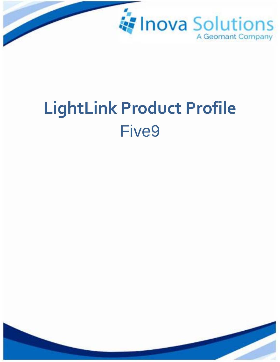

# LightLink Product Profile **Five9**

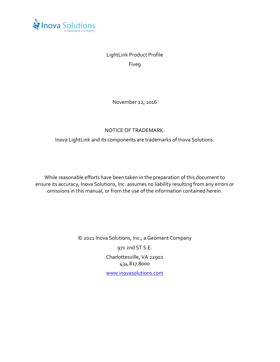

### LightLink Product Profile

Five9

November 22, 2016

#### NOTICE OF TRADEMARK:

Inova LightLink and its components are trademarks of Inova Solutions.

While reasonable efforts have been taken in the preparation of this document to ensure its accuracy, Inova Solutions, Inc. assumes no liability resulting from any errors or omissions in this manual, or from the use of the information contained herein.

> © 2021 Inova Solutions, Inc., a Geomant Company 971 2nd ST S.E. Charlottesville, VA 22902 434.817.8000 [www.inovasolutions.com](http://www.inovasolutions.com/)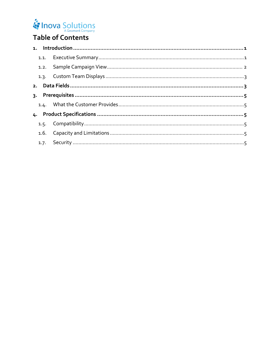## Inova Solutions

## Table of Contents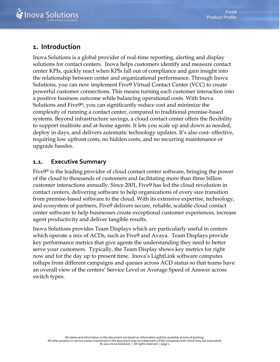#### <span id="page-3-0"></span>**1. Introduction**

Inova Solutions is a global provider of real-time reporting, alerting and display solutions for contact centers. Inova helps customers identify and measure contact center KPIs, quickly react when KPIs fall out of compliance and gain insight into the relationship between center and organizational performance. Through Inova Solutions, you can now implement Five9 Virtual Contact Center (VCC) to create powerful customer connections. This means turning each customer interaction into a positive business outcome while balancing operational costs. With Inova Solutions and Five9®, you can significantly reduce cost and minimize the complexity of running a contact center, compared to traditional premise-based systems. Beyond infrastructure savings, a cloud contact center offers the flexibility to support multisite and at-home agents. It lets you scale up and down as needed, deploy in days, and delivers automatic technology updates. It's also cost- effective, requiring low upfront costs, no hidden costs, and no recurring maintenance or upgrade hassles.

#### <span id="page-3-1"></span>**1.1. Executive Summary**

Five9® is the leading provider of cloud contact center software, bringing the power of the cloud to thousands of customers and facilitating more than three billion customer interactions annually. Since 2001, Five9 has led the cloud revolution in contact centers, delivering software to help organizations of every size transition from premise-based software to the cloud. With its extensive expertise, technology, and ecosystem of partners, Five9 delivers secure, reliable, scalable cloud contact center software to help businesses create exceptional customer experiences, increase agent productivity and deliver tangible results.

Inova Solutions provides Team Displays which are particularly useful in centers which operate a mix of ACDs, such as Five9 and Avaya. Team Displays provide key performance metrics that give agents the understanding they need to better serve your customers. Typically, the Team Display shows key metrics for right now and for the day up to present time. Inova's LightLink software computes rollups from different campaigns and queues across ACD status so that teams have an overall view of the centers' Service Level or Average Speed of Answer across switch types.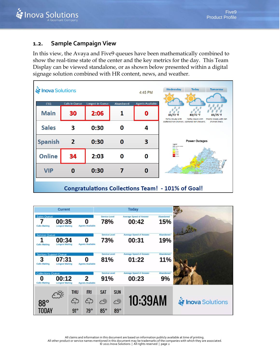#### <span id="page-4-0"></span>**1.2. Sample Campaign View**

In this view, the Avaya and Five9 queues have been mathematically combined to show the real-time state of the center and the key metrics for the day. This Team Display can be viewed standalone, or as shown below presented within a digital signage solution combined with HR content, news, and weather.

| <b>is Inova Solutions</b>                                |                       |                  |           | $4:45$ PM               | Wednesday<br><b>Today</b><br><b>Tomorrow</b>                                                            |  |
|----------------------------------------------------------|-----------------------|------------------|-----------|-------------------------|---------------------------------------------------------------------------------------------------------|--|
| CSQ                                                      | <b>Calls in Queue</b> | Longest in Queue | Abandoned | <b>Agents Available</b> |                                                                                                         |  |
| <b>Main</b>                                              | 30                    | 2:06             |           | Ω                       | 83/72 °F<br>83/72 °F<br>83/75 °F<br>Partly cloudy with<br>Partly cloudy with<br>Mostly cloudy with rain |  |
| <b>Sales</b>                                             | 3                     | 0:30             | O         | 4                       | scattered rain showers, scattered rain showers.<br>showers likely.                                      |  |
| <b>Spanish</b>                                           | $\mathbf{2}$          | 0:30             | 0         | 3                       | <b>Power Outages</b><br>Legend<br>Cata Not Available<br>$-$ 6%                                          |  |
| <b>Online</b>                                            | 34                    | 2:03             | Ω         | 0                       | $6-20%$<br>20-40%<br>$-40-60%$<br><b>ED 60-80%</b><br>80-100%                                           |  |
| <b>VIP</b>                                               | O                     | 0:30             |           | 0                       |                                                                                                         |  |
| <b>Congratulations Collections Team! - 101% of Goal!</b> |                       |                  |           |                         |                                                                                                         |  |

|                                                             | <b>Current</b>                  |            |                              |                             |            | <b>Today</b>                            |                  |                           |
|-------------------------------------------------------------|---------------------------------|------------|------------------------------|-----------------------------|------------|-----------------------------------------|------------------|---------------------------|
| Sales Oueue<br><b>Calls Waiting</b>                         | 00:35<br><b>Longest Waiting</b> |            | O<br><b>Agents Available</b> | <b>Service Level</b><br>78% |            | <b>Average Speed of Answer</b><br>00:42 | Abandoned<br>15% |                           |
| Service Queue<br>1<br><b>Calls Waiting</b>                  | 00:34<br><b>Longest Waiting</b> |            | ŋ<br><b>Agents Available</b> | <b>Service Level</b><br>73% |            | <b>Average Speed of Answer</b><br>00:31 | Abandoned<br>19% |                           |
| <b>Territory Support Queue</b><br>3<br><b>Calls Waiting</b> | 07:31<br><b>Longest Waiting</b> |            | 0<br><b>Agents Available</b> | <b>Service Level</b><br>81% |            | <b>Average Speed of Answer</b><br>01:22 | Abandoned<br>11% |                           |
| <b>Collections Oueue</b><br>0<br><b>Calls Waiting</b>       | 00:12<br><b>Longest Waiting</b> |            | 2<br><b>Agents Available</b> | <b>Service Level</b><br>91% |            | <b>Average Speed of Answer</b><br>00:23 | Abandoned<br>9%  |                           |
|                                                             | Ù.                              | <b>THU</b> | <b>FRI</b>                   | <b>SAT</b>                  | <b>SUN</b> |                                         |                  |                           |
| $88^\circ$                                                  |                                 | ආ          | ć.,                          | ĊŸ                          | S.         | 10:39AM                                 |                  | <b>is Inova Solutions</b> |
| TODAY                                                       |                                 | 91°        | 79°                          | $85^\circ$                  | $89^\circ$ |                                         |                  |                           |

All claims and information in this document are based on information publicly available at time of printing.<br>All other product or service names mentioned in this document may be trademarks of the companies with which they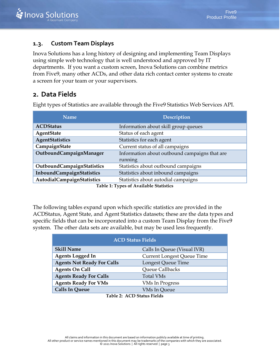#### <span id="page-5-0"></span>**1.3. Custom Team Displays**

Inova Solutions has a long history of designing and implementing Team Displays using simple web technology that is well understood and approved by IT departments. If you want a custom screen, Inova Solutions can combine metrics from Five9, many other ACDs, and other data rich contact center systems to create a screen for your team or your supervisors.

#### <span id="page-5-1"></span>**2. Data Fields**

Eight types of Statistics are available through the Five9 Statistics Web Services API.

| <b>Name</b>                | <b>Description</b>                                                                                                                                                                                                                                                                                 |  |
|----------------------------|----------------------------------------------------------------------------------------------------------------------------------------------------------------------------------------------------------------------------------------------------------------------------------------------------|--|
| <b>ACDStatus</b>           | Information about skill group queues                                                                                                                                                                                                                                                               |  |
| <b>AgentState</b>          | Status of each agent                                                                                                                                                                                                                                                                               |  |
| <b>AgentStatistics</b>     | Statistics for each agent                                                                                                                                                                                                                                                                          |  |
| CampaignState              | Current status of all campaigns                                                                                                                                                                                                                                                                    |  |
| OutboundCampaignManager    | Information about outbound campaigns that are                                                                                                                                                                                                                                                      |  |
|                            | running                                                                                                                                                                                                                                                                                            |  |
| OutboundCampaignStatistics | Statistics about outbound campaigns                                                                                                                                                                                                                                                                |  |
| InboundCampaignStatistics  | Statistics about inbound campaigns                                                                                                                                                                                                                                                                 |  |
| AutodialCampaignStatistics | Statistics about autodial campaigns                                                                                                                                                                                                                                                                |  |
|                            | $\mathbf{m}$ is a $\mathbf{m}$ and $\mathbf{m}$ and $\mathbf{m}$ is a set of $\mathbf{m}$ and $\mathbf{m}$ and $\mathbf{m}$ and $\mathbf{m}$ and $\mathbf{m}$ and $\mathbf{m}$ and $\mathbf{m}$ and $\mathbf{m}$ and $\mathbf{m}$ and $\mathbf{m}$ and $\mathbf{m}$ and $\mathbf{m}$ and $\mathbf$ |  |

**Table 1: Types of Available Statistics**

The following tables expand upon which specific statistics are provided in the ACDStatus, Agent State, and Agent Statistics datasets; these are the data types and specific fields that can be incorporated into a custom Team Display from the Five9 system. The other data sets are available, but may be used less frequently.

| <b>ACD Status Fields</b>                         |                                   |  |  |  |
|--------------------------------------------------|-----------------------------------|--|--|--|
| <b>Skill Name</b><br>Calls In Queue (Visual IVR) |                                   |  |  |  |
| <b>Agents Logged In</b>                          | <b>Current Longest Queue Time</b> |  |  |  |
| <b>Agents Not Ready For Calls</b>                | Longest Queue Time                |  |  |  |
| <b>Agents On Call</b>                            | Queue Callbacks                   |  |  |  |
| <b>Agents Ready For Calls</b>                    | <b>Total VMs</b>                  |  |  |  |
| <b>Agents Ready For VMs</b>                      | <b>VMs In Progress</b>            |  |  |  |
| <b>Calls In Queue</b>                            | <b>VMs In Queue</b>               |  |  |  |

**Table 2: ACD Status Fields**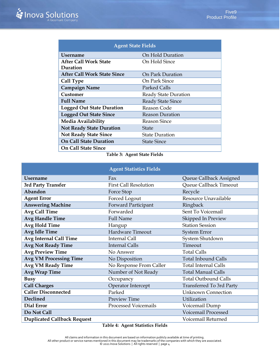| <b>Agent State Fields</b>          |                          |  |  |  |  |
|------------------------------------|--------------------------|--|--|--|--|
| <b>Username</b>                    | On Hold Duration         |  |  |  |  |
| <b>After Call Work State</b>       | On Hold Since            |  |  |  |  |
| Duration                           |                          |  |  |  |  |
| <b>After Call Work State Since</b> | On Park Duration         |  |  |  |  |
| Call Type                          | On Park Since            |  |  |  |  |
| <b>Campaign Name</b>               | Parked Calls             |  |  |  |  |
| Customer                           | Ready State Duration     |  |  |  |  |
| <b>Full Name</b>                   | <b>Ready State Since</b> |  |  |  |  |
| <b>Logged Out State Duration</b>   | Reason Code              |  |  |  |  |
| <b>Logged Out State Since</b>      | <b>Reason Duration</b>   |  |  |  |  |
| Media Availability                 | <b>Reason Since</b>      |  |  |  |  |
| <b>Not Ready State Duration</b>    | State                    |  |  |  |  |
| <b>Not Ready State Since</b>       | <b>State Duration</b>    |  |  |  |  |
| <b>On Call State Duration</b>      | <b>State Since</b>       |  |  |  |  |
| <b>On Call State Since</b>         |                          |  |  |  |  |

**Table 3: Agent State Fields**

|                                    | <b>Agent Statistics Fields</b> |                             |
|------------------------------------|--------------------------------|-----------------------------|
| <b>Username</b>                    | Fax                            | Queue Callback Assigned     |
| 3rd Party Transfer                 | <b>First Call Resolution</b>   | Queue Callback Timeout      |
| Abandon                            | Force Stop                     | Recycle                     |
| <b>Agent Error</b>                 | Forced Logout                  | Resource Unavailable        |
| <b>Answering Machine</b>           | Forward Participant            | Ringback                    |
| Avg Call Time                      | Forwarded                      | Sent To Voicemail           |
| <b>Avg Handle Time</b>             | <b>Full Name</b>               | Skipped In Preview          |
| <b>Avg Hold Time</b>               | Hangup                         | <b>Station Session</b>      |
| <b>Avg Idle Time</b>               | Hardware Timeout               | System Error                |
| <b>Avg Internal Call Time</b>      | <b>Internal Call</b>           | System Shutdown             |
| <b>Avg Not Ready Time</b>          | <b>Internal Calls</b>          | Timeout                     |
| <b>Avg Preview Time</b>            | No Answer                      | <b>Total Calls</b>          |
| <b>Avg VM Processing Time</b>      | No Disposition                 | <b>Total Inbound Calls</b>  |
| <b>Avg VM Ready Time</b>           | No Response From Caller        | <b>Total Internal Calls</b> |
| <b>Avg Wrap Time</b>               | Number of Not Ready            | <b>Total Manual Calls</b>   |
| <b>Busy</b>                        | Occupancy                      | <b>Total Outbound Calls</b> |
| <b>Call Charges</b>                | Operator Intercept             | Transferred To 3rd Party    |
| <b>Caller Disconnected</b>         | Parked                         | <b>Unknown Connection</b>   |
| Declined                           | Preview Time                   | Utilization                 |
| Dial Error                         | <b>Processed Voicemails</b>    | Voicemail Dump              |
| Do Not Call                        |                                | Voicemail Processed         |
| <b>Duplicated Callback Request</b> |                                | Voicemail Returned          |

**Table 4: Agent Statistics Fields**